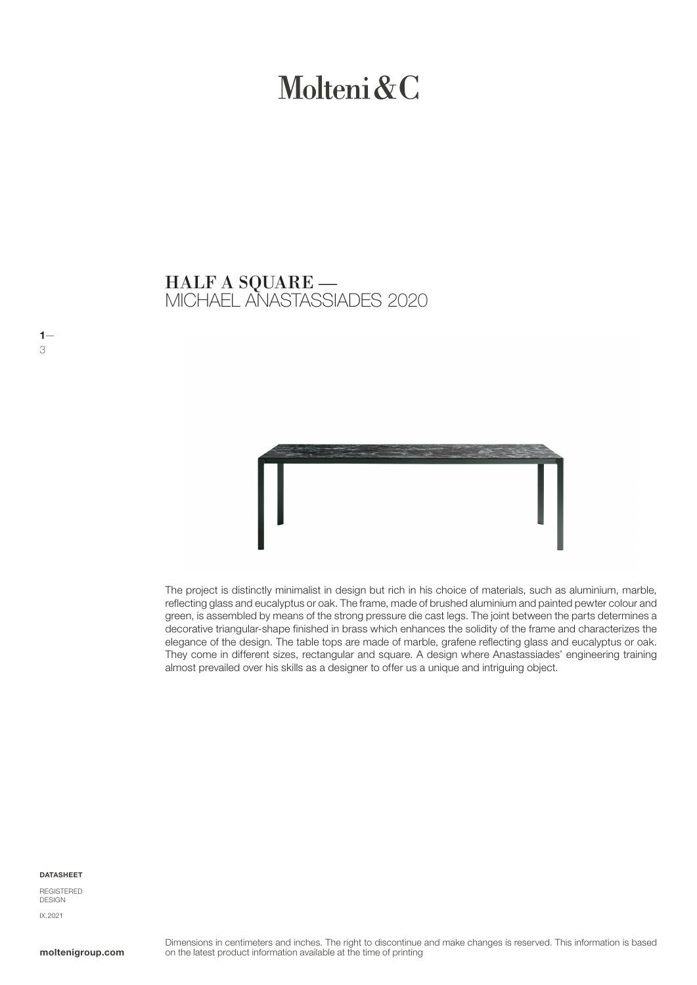# Molteni & C

## MICHAEL ANASTASSIADES 2020 HALF A SQUARE —



The project is distinctly minimalist in design but rich in his choice of materials, such as aluminium, marble, reflecting glass and eucalyptus or oak. The frame, made of brushed aluminium and painted pewter colour and green, is assembled by means of the strong pressure die cast legs. The joint between the parts determines a decorative triangular-shape finished in brass which enhances the solidity of the frame and characterizes the elegance of the design. The table tops are made of marble, grafene reflecting glass and eucalyptus or oak. They come in different sizes, rectangular and square. A design where Anastassiades' engineering training almost prevailed over his skills as a designer to offer us a unique and intriguing object.

#### DATASHEET

 $1-$ 3

REGISTERED DESIGN IX.2021

moltenigroup.com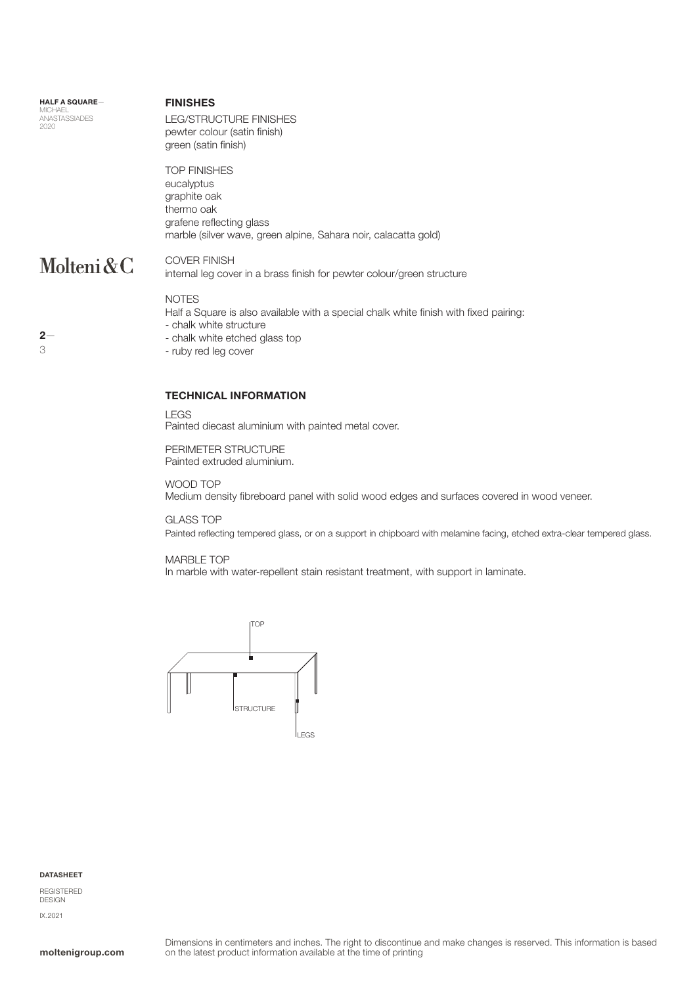#### HALF A SQUARE— **MICHAEL** ANASTASSIADES 2020

#### FINISHES

LEG/STRUCTURE FINISHES pewter colour (satin finish) green (satin finish)

TOP FINISHES eucalyptus graphite oak thermo oak grafene reflecting glass marble (silver wave, green alpine, Sahara noir, calacatta gold)

## Molteni&C

COVER FINISH internal leg cover in a brass finish for pewter colour/green structure

#### NOTES

Half a Square is also available with a special chalk white finish with fixed pairing:

- chalk white structure
- chalk white etched glass top
- ruby red leg cover

#### TECHNICAL INFORMATION

LEGS

Painted diecast aluminium with painted metal cover.

PERIMETER STRUCTURE Painted extruded aluminium.

WOOD TOP Medium density fibreboard panel with solid wood edges and surfaces covered in wood veneer.

GLASS TOP

Painted reflecting tempered glass, or on a support in chipboard with melamine facing, etched extra-clear tempered glass.

#### MARBLE TOP

In marble with water-repellent stain resistant treatment, with support in laminate.



#### DATASHEET

REGISTERED DESIGN IX.2021

### $2-$ 3